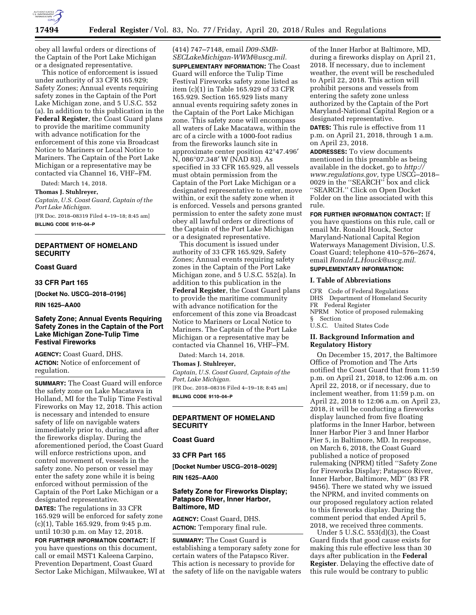

obey all lawful orders or directions of the Captain of the Port Lake Michigan or a designated representative.

This notice of enforcement is issued under authority of 33 CFR 165.929; Safety Zones; Annual events requiring safety zones in the Captain of the Port Lake Michigan zone, and 5 U.S.C. 552 (a). In addition to this publication in the **Federal Register**, the Coast Guard plans to provide the maritime community with advance notification for the enforcement of this zone via Broadcast Notice to Mariners or Local Notice to Mariners. The Captain of the Port Lake Michigan or a representative may be contacted via Channel 16, VHF–FM.

Dated: March 14, 2018.

**Thomas J. Stuhlreyer,** 

*Captain, U.S. Coast Guard, Captain of the Port Lake Michigan.* 

[FR Doc. 2018–08319 Filed 4–19–18; 8:45 am]

**BILLING CODE 9110–04–P** 

#### **DEPARTMENT OF HOMELAND SECURITY**

#### **Coast Guard**

#### **33 CFR Part 165**

**[Docket No. USCG–2018–0196]** 

**RIN 1625–AA00** 

## **Safety Zone; Annual Events Requiring Safety Zones in the Captain of the Port Lake Michigan Zone-Tulip Time Festival Fireworks**

**AGENCY:** Coast Guard, DHS. **ACTION:** Notice of enforcement of regulation.

**SUMMARY:** The Coast Guard will enforce the safety zone on Lake Macatawa in Holland, MI for the Tulip Time Festival Fireworks on May 12, 2018. This action is necessary and intended to ensure safety of life on navigable waters immediately prior to, during, and after the fireworks display. During the aforementioned period, the Coast Guard will enforce restrictions upon, and control movement of, vessels in the safety zone. No person or vessel may enter the safety zone while it is being enforced without permission of the Captain of the Port Lake Michigan or a designated representative.

**DATES:** The regulations in 33 CFR 165.929 will be enforced for safety zone (c)(1), Table 165.929, from 9:45 p.m. until 10:30 p.m. on May 12, 2018.

**FOR FURTHER INFORMATION CONTACT:** If you have questions on this document, call or email MST1 Kaleena Carpino, Prevention Department, Coast Guard Sector Lake Michigan, Milwaukee, WI at (414) 747–7148, email *[D09-SMB-](mailto:D09-SMB-SECLakeMichigan-WWM@uscg.mil)[SECLakeMichigan-WWM@uscg.mil.](mailto:D09-SMB-SECLakeMichigan-WWM@uscg.mil)*  **SUPPLEMENTARY INFORMATION:** The Coast Guard will enforce the Tulip Time Festival Fireworks safety zone listed as item (c)(1) in Table 165.929 of 33 CFR 165.929. Section 165.929 lists many annual events requiring safety zones in the Captain of the Port Lake Michigan zone. This safety zone will encompass all waters of Lake Macatawa, within the arc of a circle with a 1000-foot radius from the fireworks launch site in approximate center position 42°47.496′ N, 086°07.348′ W (NAD 83). As specified in 33 CFR 165.929, all vessels must obtain permission from the Captain of the Port Lake Michigan or a designated representative to enter, move within, or exit the safety zone when it is enforced. Vessels and persons granted permission to enter the safety zone must obey all lawful orders or directions of the Captain of the Port Lake Michigan or a designated representative.

This document is issued under authority of 33 CFR 165.929, Safety Zones; Annual events requiring safety zones in the Captain of the Port Lake Michigan zone, and 5 U.S.C. 552(a). In addition to this publication in the **Federal Register**, the Coast Guard plans to provide the maritime community with advance notification for the enforcement of this zone via Broadcast Notice to Mariners or Local Notice to Mariners. The Captain of the Port Lake Michigan or a representative may be contacted via Channel 16, VHF–FM.

Dated: March 14, 2018.

**Thomas J. Stuhlreyer,** 

*Captain, U.S. Coast Guard, Captain of the Port, Lake Michigan.*  [FR Doc. 2018–08316 Filed 4–19–18; 8:45 am]

**BILLING CODE 9110–04–P** 

## **DEPARTMENT OF HOMELAND SECURITY**

**Coast Guard** 

## **33 CFR Part 165**

**[Docket Number USCG–2018–0029]** 

**RIN 1625–AA00** 

## **Safety Zone for Fireworks Display; Patapsco River, Inner Harbor, Baltimore, MD**

**AGENCY:** Coast Guard, DHS. **ACTION:** Temporary final rule.

**SUMMARY:** The Coast Guard is establishing a temporary safety zone for certain waters of the Patapsco River. This action is necessary to provide for the safety of life on the navigable waters

of the Inner Harbor at Baltimore, MD, during a fireworks display on April 21, 2018. If necessary, due to inclement weather, the event will be rescheduled to April 22, 2018. This action will prohibit persons and vessels from entering the safety zone unless authorized by the Captain of the Port Maryland-National Capital Region or a designated representative.

**DATES:** This rule is effective from 11 p.m. on April 21, 2018, through 1 a.m. on April 23, 2018.

**ADDRESSES:** To view documents mentioned in this preamble as being available in the docket, go to *[http://](http://www.regulations.gov) [www.regulations.gov,](http://www.regulations.gov)* type USCG–2018– 0029 in the ''SEARCH'' box and click ''SEARCH.'' Click on Open Docket Folder on the line associated with this rule.

**FOR FURTHER INFORMATION CONTACT:** If

you have questions on this rule, call or email Mr. Ronald Houck, Sector Maryland-National Capital Region Waterways Management Division, U.S. Coast Guard; telephone 410–576–2674, email *[Ronald.L.Houck@uscg.mil.](mailto:Ronald.L.Houck@uscg.mil)*  **SUPPLEMENTARY INFORMATION:** 

# **I. Table of Abbreviations**

CFR Code of Federal Regulations DHS Department of Homeland Security FR Federal Register NPRM Notice of proposed rulemaking § Section U.S.C. United States Code

# **II. Background Information and Regulatory History**

On December 15, 2017, the Baltimore Office of Promotion and The Arts notified the Coast Guard that from 11:59 p.m. on April 21, 2018, to 12:06 a.m. on April 22, 2018, or if necessary, due to inclement weather, from 11:59 p.m. on April 22, 2018 to 12:06 a.m. on April 23, 2018, it will be conducting a fireworks display launched from five floating platforms in the Inner Harbor, between Inner Harbor Pier 3 and Inner Harbor Pier 5, in Baltimore, MD. In response, on March 6, 2018, the Coast Guard published a notice of proposed rulemaking (NPRM) titled ''Safety Zone for Fireworks Display; Patapsco River, Inner Harbor, Baltimore, MD'' (83 FR 9456). There we stated why we issued the NPRM, and invited comments on our proposed regulatory action related to this fireworks display. During the comment period that ended April 5, 2018, we received three comments.

Under 5 U.S.C. 553(d)(3), the Coast Guard finds that good cause exists for making this rule effective less than 30 days after publication in the **Federal Register**. Delaying the effective date of this rule would be contrary to public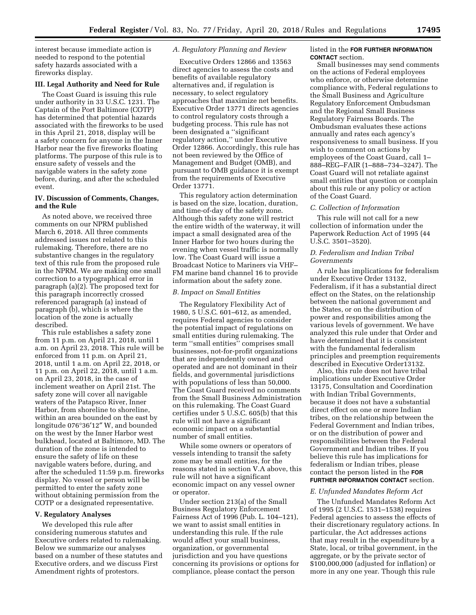interest because immediate action is needed to respond to the potential safety hazards associated with a fireworks display.

#### **III. Legal Authority and Need for Rule**

The Coast Guard is issuing this rule under authority in 33 U.S.C. 1231. The Captain of the Port Baltimore (COTP) has determined that potential hazards associated with the fireworks to be used in this April 21, 2018, display will be a safety concern for anyone in the Inner Harbor near the five fireworks floating platforms. The purpose of this rule is to ensure safety of vessels and the navigable waters in the safety zone before, during, and after the scheduled event.

# **IV. Discussion of Comments, Changes, and the Rule**

As noted above, we received three comments on our NPRM published March 6, 2018. All three comments addressed issues not related to this rulemaking. Therefore, there are no substantive changes in the regulatory text of this rule from the proposed rule in the NPRM. We are making one small correction to a typographical error in paragraph (a)(2). The proposed text for this paragraph incorrectly crossed referenced paragraph (a) instead of paragraph (b), which is where the location of the zone is actually described.

This rule establishes a safety zone from 11 p.m. on April 21, 2018, until 1 a.m. on April 23, 2018. This rule will be enforced from 11 p.m. on April 21, 2018, until 1 a.m. on April 22, 2018, or 11 p.m. on April 22, 2018, until 1 a.m. on April 23, 2018, in the case of inclement weather on April 21st. The safety zone will cover all navigable waters of the Patapsco River, Inner Harbor, from shoreline to shoreline, within an area bounded on the east by longitude 076°36′12″ W, and bounded on the west by the Inner Harbor west bulkhead, located at Baltimore, MD. The duration of the zone is intended to ensure the safety of life on these navigable waters before, during, and after the scheduled 11:59 p.m. fireworks display. No vessel or person will be permitted to enter the safety zone without obtaining permission from the COTP or a designated representative.

#### **V. Regulatory Analyses**

We developed this rule after considering numerous statutes and Executive orders related to rulemaking. Below we summarize our analyses based on a number of these statutes and Executive orders, and we discuss First Amendment rights of protestors.

#### *A. Regulatory Planning and Review*

Executive Orders 12866 and 13563 direct agencies to assess the costs and benefits of available regulatory alternatives and, if regulation is necessary, to select regulatory approaches that maximize net benefits. Executive Order 13771 directs agencies to control regulatory costs through a budgeting process. This rule has not been designated a ''significant regulatory action,'' under Executive Order 12866. Accordingly, this rule has not been reviewed by the Office of Management and Budget (OMB), and pursuant to OMB guidance it is exempt from the requirements of Executive Order 13771.

This regulatory action determination is based on the size, location, duration, and time-of-day of the safety zone. Although this safety zone will restrict the entire width of the waterway, it will impact a small designated area of the Inner Harbor for two hours during the evening when vessel traffic is normally low. The Coast Guard will issue a Broadcast Notice to Mariners via VHF– FM marine band channel 16 to provide information about the safety zone.

#### *B. Impact on Small Entities*

The Regulatory Flexibility Act of 1980, 5 U.S.C. 601–612, as amended, requires Federal agencies to consider the potential impact of regulations on small entities during rulemaking. The term ''small entities'' comprises small businesses, not-for-profit organizations that are independently owned and operated and are not dominant in their fields, and governmental jurisdictions with populations of less than 50,000. The Coast Guard received no comments from the Small Business Administration on this rulemaking. The Coast Guard certifies under 5 U.S.C. 605(b) that this rule will not have a significant economic impact on a substantial number of small entities.

While some owners or operators of vessels intending to transit the safety zone may be small entities, for the reasons stated in section V.A above, this rule will not have a significant economic impact on any vessel owner or operator.

Under section 213(a) of the Small Business Regulatory Enforcement Fairness Act of 1996 (Pub. L. 104–121), we want to assist small entities in understanding this rule. If the rule would affect your small business, organization, or governmental jurisdiction and you have questions concerning its provisions or options for compliance, please contact the person

#### listed in the **FOR FURTHER INFORMATION CONTACT** section.

Small businesses may send comments on the actions of Federal employees who enforce, or otherwise determine compliance with, Federal regulations to the Small Business and Agriculture Regulatory Enforcement Ombudsman and the Regional Small Business Regulatory Fairness Boards. The Ombudsman evaluates these actions annually and rates each agency's responsiveness to small business. If you wish to comment on actions by employees of the Coast Guard, call 1– 888–REG–FAIR (1–888–734–3247). The Coast Guard will not retaliate against small entities that question or complain about this rule or any policy or action of the Coast Guard.

#### *C. Collection of Information*

This rule will not call for a new collection of information under the Paperwork Reduction Act of 1995 (44 U.S.C. 3501–3520).

# *D. Federalism and Indian Tribal Governments*

A rule has implications for federalism under Executive Order 13132, Federalism, if it has a substantial direct effect on the States, on the relationship between the national government and the States, or on the distribution of power and responsibilities among the various levels of government. We have analyzed this rule under that Order and have determined that it is consistent with the fundamental federalism principles and preemption requirements described in Executive Order13132.

Also, this rule does not have tribal implications under Executive Order 13175, Consultation and Coordination with Indian Tribal Governments, because it does not have a substantial direct effect on one or more Indian tribes, on the relationship between the Federal Government and Indian tribes, or on the distribution of power and responsibilities between the Federal Government and Indian tribes. If you believe this rule has implications for federalism or Indian tribes, please contact the person listed in the **FOR FURTHER INFORMATION CONTACT** section.

#### *E. Unfunded Mandates Reform Act*

The Unfunded Mandates Reform Act of 1995 (2 U.S.C. 1531–1538) requires Federal agencies to assess the effects of their discretionary regulatory actions. In particular, the Act addresses actions that may result in the expenditure by a State, local, or tribal government, in the aggregate, or by the private sector of \$100,000,000 (adjusted for inflation) or more in any one year. Though this rule